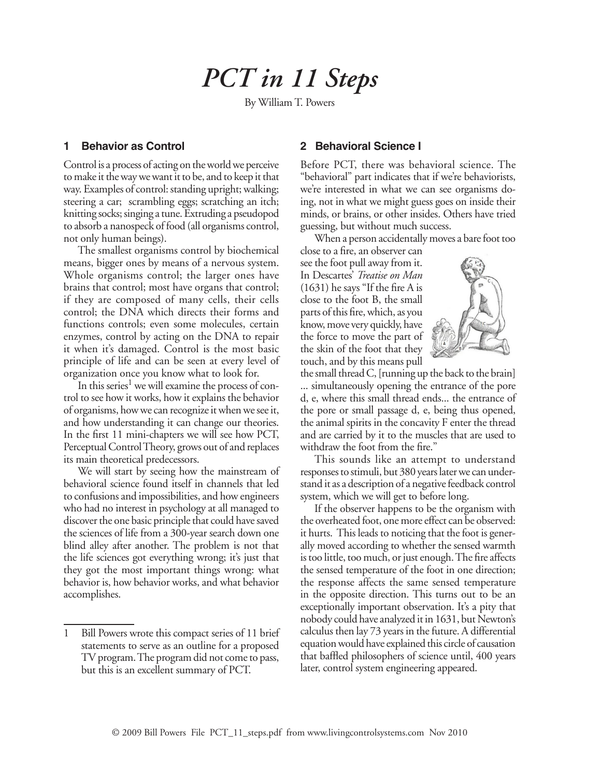# *PCT in 11 Steps*

By William T. Powers

# **1 Behavior as Control**

Control is a process of acting on the world we perceive to make it the way we want it to be, and to keep it that way. Examples of control: standing upright; walking; steering a car; scrambling eggs; scratching an itch; knitting socks; singing a tune. Extruding a pseudopod to absorb a nanospeck of food (all organisms control, not only human beings).

The smallest organisms control by biochemical means, bigger ones by means of a nervous system. Whole organisms control; the larger ones have brains that control; most have organs that control; if they are composed of many cells, their cells control; the DNA which directs their forms and functions controls; even some molecules, certain enzymes, control by acting on the DNA to repair it when it's damaged. Control is the most basic principle of life and can be seen at every level of organization once you know what to look for.

In this series<sup>1</sup> we will examine the process of control to see how it works, how it explains the behavior of organisms, how we can recognize it when we see it, and how understanding it can change our theories. In the first 11 mini-chapters we will see how PCT, Perceptual Control Theory, grows out of and replaces its main theoretical predecessors.

We will start by seeing how the mainstream of behavioral science found itself in channels that led to confusions and impossibilities, and how engineers who had no interest in psychology at all managed to discover the one basic principle that could have saved the sciences of life from a 300-year search down one blind alley after another. The problem is not that the life sciences got everything wrong; it's just that they got the most important things wrong: what behavior is, how behavior works, and what behavior accomplishes.

# **2 Behavioral Science I**

Before PCT, there was behavioral science. The "behavioral" part indicates that if we're behaviorists, we're interested in what we can see organisms doing, not in what we might guess goes on inside their minds, or brains, or other insides. Others have tried guessing, but without much success.

When a person accidentally moves a bare foot too

close to a fire, an observer can see the foot pull away from it. In Descartes' *Treatise on Man* (1631) he says "If the fire A is close to the foot B, the small parts of this fire, which, as you know, move very quickly, have the force to move the part of the skin of the foot that they touch, and by this means pull



the small thread C, [running up the back to the brain] ... simultaneously opening the entrance of the pore d, e, where this small thread ends... the entrance of the pore or small passage d, e, being thus opened, the animal spirits in the concavity F enter the thread and are carried by it to the muscles that are used to withdraw the foot from the fire."

This sounds like an attempt to understand responses to stimuli, but 380 years later we can understand it as a description of a negative feedback control system, which we will get to before long.

If the observer happens to be the organism with the overheated foot, one more effect can be observed: it hurts. This leads to noticing that the foot is generally moved according to whether the sensed warmth is too little, too much, or just enough. The fire affects the sensed temperature of the foot in one direction; the response affects the same sensed temperature in the opposite direction. This turns out to be an exceptionally important observation. It's a pity that nobody could have analyzed it in 1631, but Newton's calculus then lay 73 years in the future. A differential equation would have explained this circle of causation that baffled philosophers of science until, 400 years later, control system engineering appeared.

<sup>1</sup> Bill Powers wrote this compact series of 11 brief statements to serve as an outline for a proposed TV program. The program did not come to pass, but this is an excellent summary of PCT.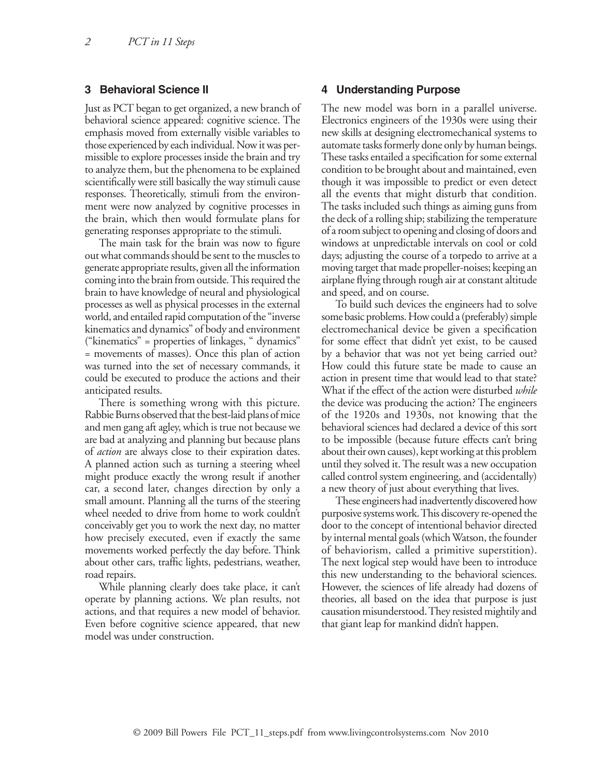### **3 Behavioral Science II**

Just as PCT began to get organized, a new branch of behavioral science appeared: cognitive science. The emphasis moved from externally visible variables to those experienced by each individual. Now it was permissible to explore processes inside the brain and try to analyze them, but the phenomena to be explained scientifically were still basically the way stimuli cause responses. Theoretically, stimuli from the environment were now analyzed by cognitive processes in the brain, which then would formulate plans for generating responses appropriate to the stimuli.

The main task for the brain was now to figure out what commands should be sent to the muscles to generate appropriate results, given all the information coming into the brain from outside. This required the brain to have knowledge of neural and physiological processes as well as physical processes in the external world, and entailed rapid computation of the "inverse kinematics and dynamics" of body and environment ("kinematics" = properties of linkages, " dynamics" = movements of masses). Once this plan of action was turned into the set of necessary commands, it could be executed to produce the actions and their anticipated results.

There is something wrong with this picture. Rabbie Burns observed that the best-laid plans of mice and men gang aft agley, which is true not because we are bad at analyzing and planning but because plans of *action* are always close to their expiration dates. A planned action such as turning a steering wheel might produce exactly the wrong result if another car, a second later, changes direction by only a small amount. Planning all the turns of the steering wheel needed to drive from home to work couldn't conceivably get you to work the next day, no matter how precisely executed, even if exactly the same movements worked perfectly the day before. Think about other cars, traffic lights, pedestrians, weather, road repairs.

While planning clearly does take place, it can't operate by planning actions. We plan results, not actions, and that requires a new model of behavior. Even before cognitive science appeared, that new model was under construction.

### **4 Understanding Purpose**

The new model was born in a parallel universe. Electronics engineers of the 1930s were using their new skills at designing electromechanical systems to automate tasks formerly done only by human beings. These tasks entailed a specification for some external condition to be brought about and maintained, even though it was impossible to predict or even detect all the events that might disturb that condition. The tasks included such things as aiming guns from the deck of a rolling ship; stabilizing the temperature of a room subject to opening and closing of doors and windows at unpredictable intervals on cool or cold days; adjusting the course of a torpedo to arrive at a moving target that made propeller-noises; keeping an airplane flying through rough air at constant altitude and speed, and on course.

To build such devices the engineers had to solve some basic problems. How could a (preferably) simple electromechanical device be given a specification for some effect that didn't yet exist, to be caused by a behavior that was not yet being carried out? How could this future state be made to cause an action in present time that would lead to that state? What if the effect of the action were disturbed *while* the device was producing the action? The engineers of the 1920s and 1930s, not knowing that the behavioral sciences had declared a device of this sort to be impossible (because future effects can't bring about their own causes), kept working at this problem until they solved it. The result was a new occupation called control system engineering, and (accidentally) a new theory of just about everything that lives.

These engineers had inadvertently discovered how purposive systems work. This discovery re-opened the door to the concept of intentional behavior directed by internal mental goals (which Watson, the founder of behaviorism, called a primitive superstition). The next logical step would have been to introduce this new understanding to the behavioral sciences. However, the sciences of life already had dozens of theories, all based on the idea that purpose is just causation misunderstood. They resisted mightily and that giant leap for mankind didn't happen.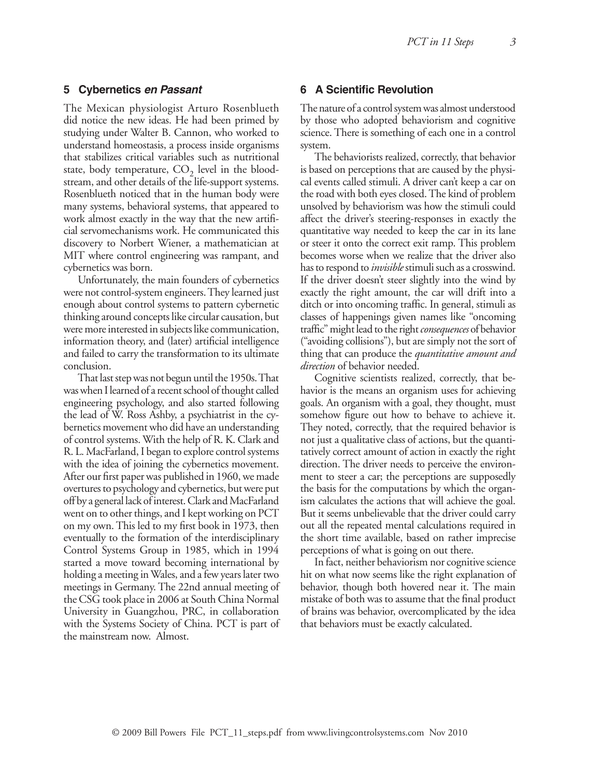# **5 Cybernetics** *en Passant*

The Mexican physiologist Arturo Rosenblueth did notice the new ideas. He had been primed by studying under Walter B. Cannon, who worked to understand homeostasis, a process inside organisms that stabilizes critical variables such as nutritional state, body temperature,  $CO<sub>2</sub>$  level in the bloodstream, and other details of the life-support systems. Rosenblueth noticed that in the human body were many systems, behavioral systems, that appeared to work almost exactly in the way that the new artificial servomechanisms work. He communicated this discovery to Norbert Wiener, a mathematician at MIT where control engineering was rampant, and cybernetics was born.

Unfortunately, the main founders of cybernetics were not control-system engineers. They learned just enough about control systems to pattern cybernetic thinking around concepts like circular causation, but were more interested in subjects like communication, information theory, and (later) artificial intelligence and failed to carry the transformation to its ultimate conclusion.

That last step was not begun until the 1950s. That was when I learned of a recent school of thought called engineering psychology, and also started following the lead of W. Ross Ashby, a psychiatrist in the cybernetics movement who did have an understanding of control systems. With the help of R. K. Clark and R. L. MacFarland, I began to explore control systems with the idea of joining the cybernetics movement. After our first paper was published in 1960, we made overtures to psychology and cybernetics, but were put off by a general lack of interest. Clark and MacFarland went on to other things, and I kept working on PCT on my own. This led to my first book in 1973, then eventually to the formation of the interdisciplinary Control Systems Group in 1985, which in 1994 started a move toward becoming international by holding a meeting in Wales, and a few years later two meetings in Germany. The 22nd annual meeting of the CSG took place in 2006 at South China Normal University in Guangzhou, PRC, in collaboration with the Systems Society of China. PCT is part of the mainstream now. Almost.

# **6 A Scientific Revolution**

The nature of a control system was almost understood by those who adopted behaviorism and cognitive science. There is something of each one in a control system.

The behaviorists realized, correctly, that behavior is based on perceptions that are caused by the physical events called stimuli. A driver can't keep a car on the road with both eyes closed. The kind of problem unsolved by behaviorism was how the stimuli could affect the driver's steering-responses in exactly the quantitative way needed to keep the car in its lane or steer it onto the correct exit ramp. This problem becomes worse when we realize that the driver also has to respond to *invisible* stimuli such as a crosswind. If the driver doesn't steer slightly into the wind by exactly the right amount, the car will drift into a ditch or into oncoming traffic. In general, stimuli as classes of happenings given names like "oncoming traffic" might lead to the right *consequences* of behavior ("avoiding collisions"), but are simply not the sort of thing that can produce the *quantitative amount and direction* of behavior needed.

Cognitive scientists realized, correctly, that behavior is the means an organism uses for achieving goals. An organism with a goal, they thought, must somehow figure out how to behave to achieve it. They noted, correctly, that the required behavior is not just a qualitative class of actions, but the quantitatively correct amount of action in exactly the right direction. The driver needs to perceive the environment to steer a car; the perceptions are supposedly the basis for the computations by which the organism calculates the actions that will achieve the goal. But it seems unbelievable that the driver could carry out all the repeated mental calculations required in the short time available, based on rather imprecise perceptions of what is going on out there.

In fact, neither behaviorism nor cognitive science hit on what now seems like the right explanation of behavior, though both hovered near it. The main mistake of both was to assume that the final product of brains was behavior, overcomplicated by the idea that behaviors must be exactly calculated.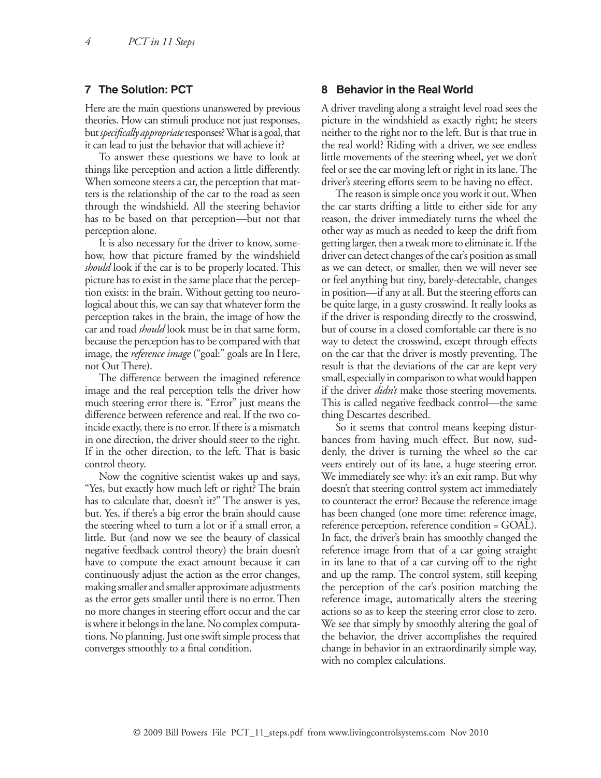## **7 The Solution: PCT**

Here are the main questions unanswered by previous theories. How can stimuli produce not just responses, but *specifically appropriate* responses? What is a goal, that it can lead to just the behavior that will achieve it?

To answer these questions we have to look at things like perception and action a little differently. When someone steers a car, the perception that matters is the relationship of the car to the road as seen through the windshield. All the steering behavior has to be based on that perception—but not that perception alone.

It is also necessary for the driver to know, somehow, how that picture framed by the windshield *should* look if the car is to be properly located. This picture has to exist in the same place that the perception exists: in the brain. Without getting too neurological about this, we can say that whatever form the perception takes in the brain, the image of how the car and road *should* look must be in that same form, because the perception has to be compared with that image, the *reference image* ("goal:" goals are In Here, not Out There).

The difference between the imagined reference image and the real perception tells the driver how much steering error there is. "Error" just means the difference between reference and real. If the two coincide exactly, there is no error. If there is a mismatch in one direction, the driver should steer to the right. If in the other direction, to the left. That is basic control theory.

Now the cognitive scientist wakes up and says, "Yes, but exactly how much left or right? The brain has to calculate that, doesn't it?" The answer is yes, but. Yes, if there's a big error the brain should cause the steering wheel to turn a lot or if a small error, a little. But (and now we see the beauty of classical negative feedback control theory) the brain doesn't have to compute the exact amount because it can continuously adjust the action as the error changes, making smaller and smaller approximate adjustments as the error gets smaller until there is no error. Then no more changes in steering effort occur and the car is where it belongs in the lane. No complex computations. No planning. Just one swift simple process that converges smoothly to a final condition.

### **8 Behavior in the Real World**

A driver traveling along a straight level road sees the picture in the windshield as exactly right; he steers neither to the right nor to the left. But is that true in the real world? Riding with a driver, we see endless little movements of the steering wheel, yet we don't feel or see the car moving left or right in its lane. The driver's steering efforts seem to be having no effect.

The reason is simple once you work it out. When the car starts drifting a little to either side for any reason, the driver immediately turns the wheel the other way as much as needed to keep the drift from getting larger, then a tweak more to eliminate it. If the driver can detect changes of the car's position as small as we can detect, or smaller, then we will never see or feel anything but tiny, barely-detectable, changes in position—if any at all. But the steering efforts can be quite large, in a gusty crosswind. It really looks as if the driver is responding directly to the crosswind, but of course in a closed comfortable car there is no way to detect the crosswind, except through effects on the car that the driver is mostly preventing. The result is that the deviations of the car are kept very small, especially in comparison to what would happen if the driver *didn't* make those steering movements. This is called negative feedback control—the same thing Descartes described.

So it seems that control means keeping disturbances from having much effect. But now, suddenly, the driver is turning the wheel so the car veers entirely out of its lane, a huge steering error. We immediately see why: it's an exit ramp. But why doesn't that steering control system act immediately to counteract the error? Because the reference image has been changed (one more time: reference image, reference perception, reference condition = GOAL). In fact, the driver's brain has smoothly changed the reference image from that of a car going straight in its lane to that of a car curving off to the right and up the ramp. The control system, still keeping the perception of the car's position matching the reference image, automatically alters the steering actions so as to keep the steering error close to zero. We see that simply by smoothly altering the goal of the behavior, the driver accomplishes the required change in behavior in an extraordinarily simple way, with no complex calculations.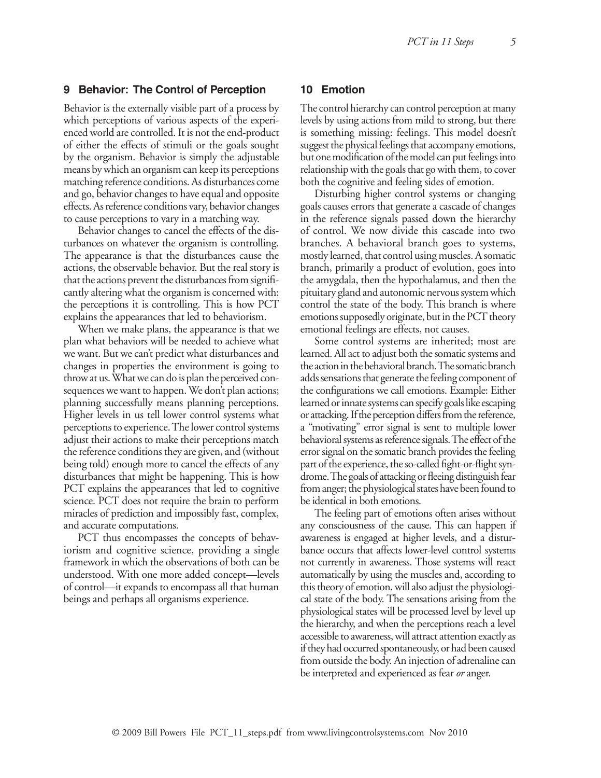# **9 Behavior: The Control of Perception**

Behavior is the externally visible part of a process by which perceptions of various aspects of the experienced world are controlled. It is not the end-product of either the effects of stimuli or the goals sought by the organism. Behavior is simply the adjustable means by which an organism can keep its perceptions matching reference conditions. As disturbances come and go, behavior changes to have equal and opposite effects. As reference conditions vary, behavior changes to cause perceptions to vary in a matching way.

Behavior changes to cancel the effects of the disturbances on whatever the organism is controlling. The appearance is that the disturbances cause the actions, the observable behavior. But the real story is that the actions prevent the disturbances from significantly altering what the organism is concerned with: the perceptions it is controlling. This is how PCT explains the appearances that led to behaviorism.

When we make plans, the appearance is that we plan what behaviors will be needed to achieve what we want. But we can't predict what disturbances and changes in properties the environment is going to throw at us. What we can do is plan the perceived consequences we want to happen. We don't plan actions; planning successfully means planning perceptions. Higher levels in us tell lower control systems what perceptions to experience. The lower control systems adjust their actions to make their perceptions match the reference conditions they are given, and (without being told) enough more to cancel the effects of any disturbances that might be happening. This is how PCT explains the appearances that led to cognitive science. PCT does not require the brain to perform miracles of prediction and impossibly fast, complex, and accurate computations.

PCT thus encompasses the concepts of behaviorism and cognitive science, providing a single framework in which the observations of both can be understood. With one more added concept—levels of control—it expands to encompass all that human beings and perhaps all organisms experience.

## **10 Emotion**

The control hierarchy can control perception at many levels by using actions from mild to strong, but there is something missing: feelings. This model doesn't suggest the physical feelings that accompany emotions, but one modification of the model can put feelings into relationship with the goals that go with them, to cover both the cognitive and feeling sides of emotion.

Disturbing higher control systems or changing goals causes errors that generate a cascade of changes in the reference signals passed down the hierarchy of control. We now divide this cascade into two branches. A behavioral branch goes to systems, mostly learned, that control using muscles. A somatic branch, primarily a product of evolution, goes into the amygdala, then the hypothalamus, and then the pituitary gland and autonomic nervous system which control the state of the body. This branch is where emotions supposedly originate, but in the PCT theory emotional feelings are effects, not causes.

Some control systems are inherited; most are learned. All act to adjust both the somatic systems and the action in the behavioral branch. The somatic branch adds sensations that generate the feeling component of the configurations we call emotions. Example: Either learned or innate systems can specify goals like escaping or attacking. If the perception differs from the reference, a "motivating" error signal is sent to multiple lower behavioral systems as reference signals. The effect of the error signal on the somatic branch provides the feeling part of the experience, the so-called fight-or-flight syndrome. The goals of attacking or fleeing distinguish fear from anger; the physiological states have been found to be identical in both emotions.

The feeling part of emotions often arises without any consciousness of the cause. This can happen if awareness is engaged at higher levels, and a disturbance occurs that affects lower-level control systems not currently in awareness. Those systems will react automatically by using the muscles and, according to this theory of emotion, will also adjust the physiological state of the body. The sensations arising from the physiological states will be processed level by level up the hierarchy, and when the perceptions reach a level accessible to awareness, will attract attention exactly as if they had occurred spontaneously, or had been caused from outside the body. An injection of adrenaline can be interpreted and experienced as fear *or* anger.